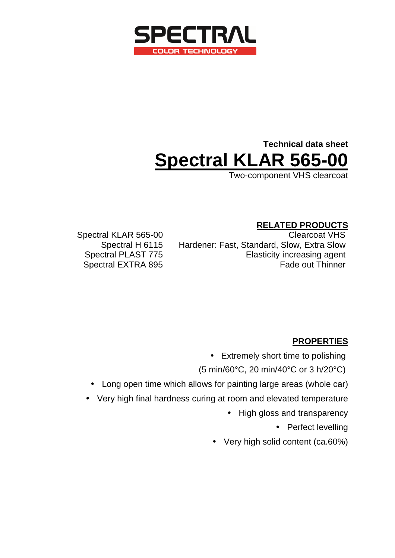

# **Technical data sheet Spectral KLAR 565-00**

Two-component VHS clearcoat

### **RELATED PRODUCTS**

Spectral KLAR 565-00 Clearcoat VHS Spectral H 6115 Hardener: Fast, Standard, Slow, Extra Slow Spectral PLAST 775 Elasticity increasing agent Spectral EXTRA 895 Fade out Thinner

### **PROPERTIES**

• Extremely short time to polishing

(5 min/60°C, 20 min/40°C or 3 h/20°C)

- Long open time which allows for painting large areas (whole car)
- Very high final hardness curing at room and elevated temperature
	- High gloss and transparency

• Perfect levelling

• Very high solid content (ca.60%)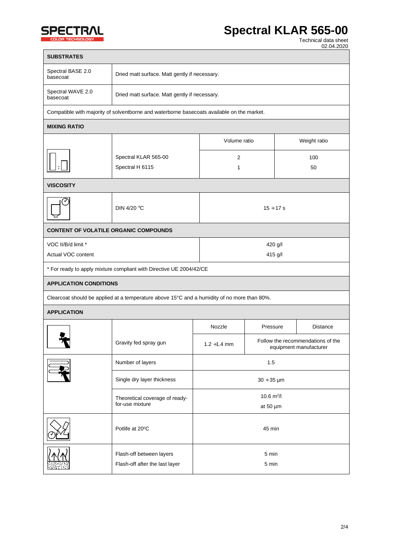

Г

## **ECTRAL** Spectral KLAR 565-00

**TECHNOLOGY TECHNOLOGY TECHNOLOGY TECHNOLOGY TECHNOLOGY TECHNOLOGY TECHNOLOGY** 02.04.2020

| <b>SUBSTRATES</b>                                                                          |                                                                                             |                                           |                                                             |              |          |  |
|--------------------------------------------------------------------------------------------|---------------------------------------------------------------------------------------------|-------------------------------------------|-------------------------------------------------------------|--------------|----------|--|
| Spectral BASE 2.0<br>basecoat                                                              | Dried matt surface. Matt gently if necessary.                                               |                                           |                                                             |              |          |  |
| Spectral WAVE 2.0<br>basecoat                                                              | Dried matt surface. Matt gently if necessary.                                               |                                           |                                                             |              |          |  |
| Compatible with majority of solventborne and waterborne basecoats available on the market. |                                                                                             |                                           |                                                             |              |          |  |
| <b>MIXING RATIO</b>                                                                        |                                                                                             |                                           |                                                             |              |          |  |
|                                                                                            |                                                                                             | Volume ratio<br>$\overline{2}$<br>1<br>50 |                                                             | Weight ratio |          |  |
|                                                                                            | Spectral KLAR 565-00<br>Spectral H 6115                                                     |                                           |                                                             | 100          |          |  |
| <b>VISCOSITY</b>                                                                           |                                                                                             |                                           |                                                             |              |          |  |
| ✓                                                                                          | DIN 4/20 °C                                                                                 | $15 \div 17 s$                            |                                                             |              |          |  |
| <b>CONTENT OF VOLATILE ORGANIC COMPOUNDS</b>                                               |                                                                                             |                                           |                                                             |              |          |  |
| VOC II/B/d limit *<br>Actual VOC content                                                   | 420 g/l<br>415 g/l                                                                          |                                           |                                                             |              |          |  |
| * For ready to apply mixture compliant with Directive UE 2004/42/CE                        |                                                                                             |                                           |                                                             |              |          |  |
| <b>APPLICATION CONDITIONS</b>                                                              |                                                                                             |                                           |                                                             |              |          |  |
|                                                                                            | Clearcoat should be applied at a temperature above 15°C and a humidity of no more than 80%. |                                           |                                                             |              |          |  |
| <b>APPLICATION</b>                                                                         |                                                                                             |                                           |                                                             |              |          |  |
|                                                                                            |                                                                                             | Nozzle                                    | Pressure                                                    |              | Distance |  |
|                                                                                            | Gravity fed spray gun                                                                       | $1.2 \div 1.4$ mm                         | Follow the recommendations of the<br>equipment manufacturer |              |          |  |
|                                                                                            | Number of layers                                                                            | 1.5                                       |                                                             |              |          |  |
|                                                                                            | Single dry layer thickness                                                                  | $30 \div 35 \,\mu m$                      |                                                             |              |          |  |
|                                                                                            | 10.6 $m^2/l$<br>Theoretical coverage of ready-<br>for-use mixture                           |                                           |                                                             |              |          |  |
|                                                                                            |                                                                                             |                                           | at 50 $\mu$ m                                               |              |          |  |
|                                                                                            | Potlife at 20°C                                                                             | 45 min                                    |                                                             |              |          |  |
|                                                                                            | Flash-off between layers<br>Flash-off after the last layer                                  | 5 min<br>5 min                            |                                                             |              |          |  |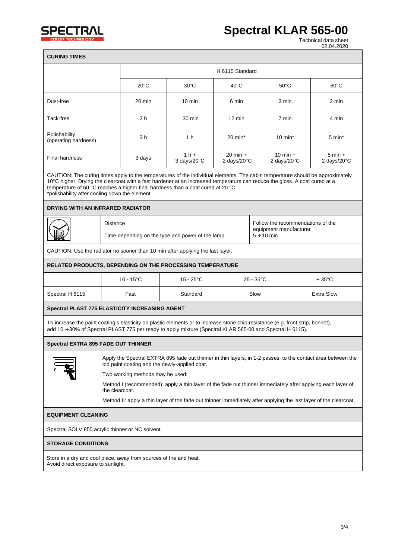

02.04.2020

| <b>CURING TIMES</b>                                                                                                                                                                                                                                                                                                                                                                              |                                                                                                                               |                                                                     |                       |                                   |                        |                                                                       |                |
|--------------------------------------------------------------------------------------------------------------------------------------------------------------------------------------------------------------------------------------------------------------------------------------------------------------------------------------------------------------------------------------------------|-------------------------------------------------------------------------------------------------------------------------------|---------------------------------------------------------------------|-----------------------|-----------------------------------|------------------------|-----------------------------------------------------------------------|----------------|
|                                                                                                                                                                                                                                                                                                                                                                                                  |                                                                                                                               | H 6115 Standard                                                     |                       |                                   |                        |                                                                       |                |
|                                                                                                                                                                                                                                                                                                                                                                                                  |                                                                                                                               | $20^{\circ}$ C                                                      | 30°C                  | $40^{\circ}$ C                    | $50^{\circ}$ C         |                                                                       | $60^{\circ}$ C |
| Dust-free                                                                                                                                                                                                                                                                                                                                                                                        |                                                                                                                               | 20 min                                                              | $10 \text{ min}$      | 6 min                             | 3 min                  |                                                                       | 2 min          |
| Tack-free                                                                                                                                                                                                                                                                                                                                                                                        |                                                                                                                               | 2 h                                                                 | 30 min                | 12 min                            | 7 min                  |                                                                       | 4 min          |
| Polishability<br>(operating hardness)                                                                                                                                                                                                                                                                                                                                                            |                                                                                                                               | 3 h                                                                 | 1 h                   | $20 \text{ min}^*$                | $10 \text{ min}^*$     |                                                                       | 5 min*         |
| <b>Final hardness</b>                                                                                                                                                                                                                                                                                                                                                                            |                                                                                                                               | 3 days                                                              | $1h +$<br>3 days/20°C | $20 \text{ min} +$<br>2 days/20°C |                        | $10 \text{ min} +$<br>$5 \text{ min} +$<br>2 days/20°C<br>2 days/20°C |                |
| CAUTION: The curing times apply to the temperatures of the individual elements. The cabin temperature should be approximately<br>10°C higher. Drying the clearcoat with a fast hardener at an increased temperature can reduce the gloss. A coat cured at a<br>temperature of 60 °C reaches a higher final hardness than a coat cured at 20 °C<br>*polishability after cooling down the element. |                                                                                                                               |                                                                     |                       |                                   |                        |                                                                       |                |
| DRYING WITH AN INFRARED RADIATOR                                                                                                                                                                                                                                                                                                                                                                 |                                                                                                                               |                                                                     |                       |                                   |                        |                                                                       |                |
|                                                                                                                                                                                                                                                                                                                                                                                                  | <b>Distance</b>                                                                                                               | $5 \div 10$ min<br>Time depending on the type and power of the lamp |                       |                                   | equipment manufacturer | Follow the recommendations of the                                     |                |
| CAUTION: Use the radiator no sooner than 10 min after applying the last layer.                                                                                                                                                                                                                                                                                                                   |                                                                                                                               |                                                                     |                       |                                   |                        |                                                                       |                |
| RELATED PRODUCTS, DEPENDING ON THE PROCESSING TEMPERATURE                                                                                                                                                                                                                                                                                                                                        |                                                                                                                               |                                                                     |                       |                                   |                        |                                                                       |                |
|                                                                                                                                                                                                                                                                                                                                                                                                  |                                                                                                                               | $10 - 15^{\circ}$ C                                                 | $15 - 25^{\circ}$ C   |                                   | $25 - 35^{\circ}$ C    |                                                                       | + 35°C         |
| Spectral H 6115                                                                                                                                                                                                                                                                                                                                                                                  |                                                                                                                               | Fast                                                                | Standard              | <b>Extra Slow</b><br>Slow         |                        |                                                                       |                |
| Spectral PLAST 775 ELASTICITY INCREASING AGENT                                                                                                                                                                                                                                                                                                                                                   |                                                                                                                               |                                                                     |                       |                                   |                        |                                                                       |                |
| To increase the paint coating's elasticity on plastic elements or to increase stone chip resistance (e.g. front strip, bonnet),<br>add 10 + 30% of Spectral PLAST 775 per ready to apply mixture (Spectral KLAR 565-00 and Spectral H 6115).                                                                                                                                                     |                                                                                                                               |                                                                     |                       |                                   |                        |                                                                       |                |
| <b>Spectral EXTRA 895 FADE OUT THINNER</b>                                                                                                                                                                                                                                                                                                                                                       |                                                                                                                               |                                                                     |                       |                                   |                        |                                                                       |                |
| Apply the Spectral EXTRA 895 fade out thinner in thin layers, in 1-2 passes, to the contact area between the<br>old paint coating and the newly-applied coat.                                                                                                                                                                                                                                    |                                                                                                                               |                                                                     |                       |                                   |                        |                                                                       |                |
|                                                                                                                                                                                                                                                                                                                                                                                                  | Two working methods may be used:                                                                                              |                                                                     |                       |                                   |                        |                                                                       |                |
|                                                                                                                                                                                                                                                                                                                                                                                                  | Method I (recommended): apply a thin layer of the fade out thinner immediately after applying each layer of<br>the clearcoat. |                                                                     |                       |                                   |                        |                                                                       |                |
| Method II: apply a thin layer of the fade out thinner immediately after applying the last layer of the clearcoat.                                                                                                                                                                                                                                                                                |                                                                                                                               |                                                                     |                       |                                   |                        |                                                                       |                |
| <b>EQUIPMENT CLEANING</b>                                                                                                                                                                                                                                                                                                                                                                        |                                                                                                                               |                                                                     |                       |                                   |                        |                                                                       |                |
| Spectral SOLV 855 acrylic thinner or NC solvent.                                                                                                                                                                                                                                                                                                                                                 |                                                                                                                               |                                                                     |                       |                                   |                        |                                                                       |                |
| <b>STORAGE CONDITIONS</b>                                                                                                                                                                                                                                                                                                                                                                        |                                                                                                                               |                                                                     |                       |                                   |                        |                                                                       |                |

Store in a dry and cool place, away from sources of fire and heat. Avoid direct exposure to sunlight.